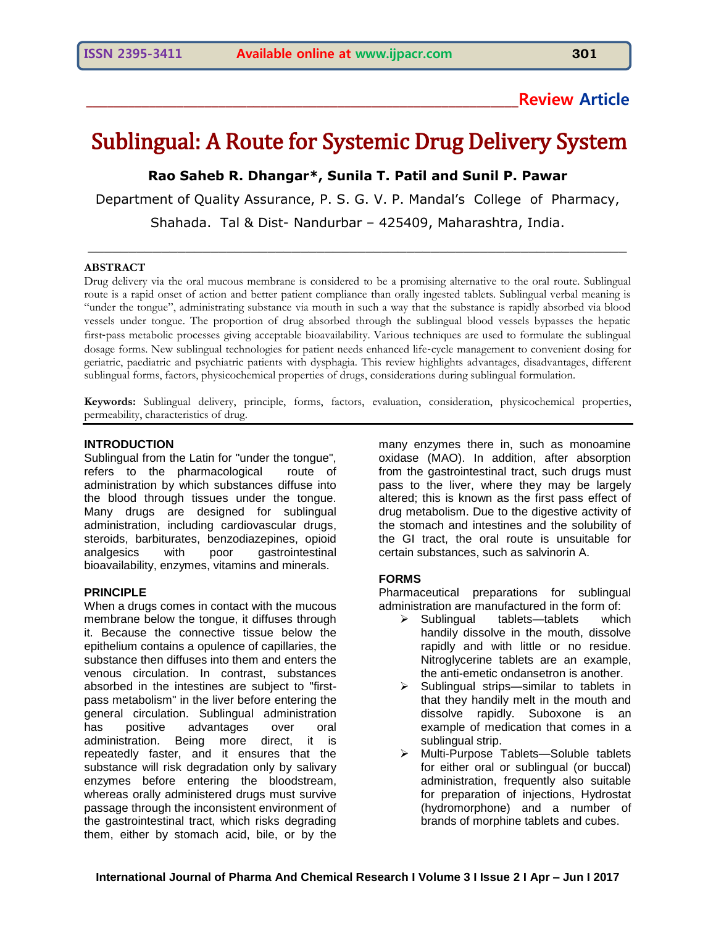# **\_\_\_\_\_\_\_\_\_\_\_\_\_\_\_\_\_\_\_\_\_\_\_\_\_\_\_\_\_\_\_\_\_\_\_\_\_\_\_\_\_\_\_\_\_\_\_\_\_\_\_\_\_\_\_\_\_\_\_\_\_\_Review Article**

# Sublingual: A Route for Systemic Drug Delivery System

**Rao Saheb R. Dhangar\*, Sunila T. Patil and Sunil P. Pawar**

Department of Quality Assurance, P. S. G. V. P. Mandal's College of Pharmacy,

Shahada. Tal & Dist- Nandurbar – 425409, Maharashtra, India.

\_\_\_\_\_\_\_\_\_\_\_\_\_\_\_\_\_\_\_\_\_\_\_\_\_\_\_\_\_\_\_\_\_\_\_\_\_\_\_\_\_\_\_\_\_\_\_\_\_\_\_\_\_\_\_\_\_\_\_\_\_\_\_\_\_\_

#### **ABSTRACT**

Drug delivery via the oral mucous membrane is considered to be a promising alternative to the oral route. Sublingual route is a rapid onset of action and better patient compliance than orally ingested tablets. Sublingual verbal meaning is "under the tongue", administrating substance via mouth in such a way that the substance is rapidly absorbed via blood vessels under tongue. The proportion of drug absorbed through the sublingual blood vessels bypasses the hepatic first‐pass metabolic processes giving acceptable bioavailability. Various techniques are used to formulate the sublingual dosage forms. New sublingual technologies for patient needs enhanced life‐cycle management to convenient dosing for geriatric, paediatric and psychiatric patients with dysphagia. This review highlights advantages, disadvantages, different sublingual forms, factors, physicochemical properties of drugs, considerations during sublingual formulation.

**Keywords:** Sublingual delivery, principle, forms, factors, evaluation, consideration, physicochemical properties, permeability, characteristics of drug.

#### **INTRODUCTION**

Sublingual from the Latin for "under the tongue", refers to the pharmacological route of administration by which substances diffuse into the blood through tissues under the tongue. Many drugs are designed for sublingual administration, including cardiovascular drugs, steroids, barbiturates, benzodiazepines, opioid analgesics with poor gastrointestinal bioavailability, enzymes, vitamins and minerals.

#### **PRINCIPLE**

When a drugs comes in contact with the mucous membrane below the tongue, it diffuses through it. Because the connective tissue below the epithelium contains a opulence of capillaries, the substance then diffuses into them and enters the venous circulation. In contrast, substances absorbed in the intestines are subject to "firstpass metabolism" in the liver before entering the general circulation. Sublingual administration has positive advantages over oral administration. Being more direct, it is repeatedly faster, and it ensures that the substance will risk degradation only by salivary enzymes before entering the bloodstream, whereas orally administered drugs must survive passage through the inconsistent environment of the gastrointestinal tract, which risks degrading them, either by stomach acid, bile, or by the

many enzymes there in, such as monoamine oxidase (MAO). In addition, after absorption from the gastrointestinal tract, such drugs must pass to the liver, where they may be largely altered; this is known as the first pass effect of drug metabolism. Due to the digestive activity of the stomach and intestines and the solubility of the GI tract, the oral route is unsuitable for certain substances, such as salvinorin A.

#### **FORMS**

Pharmaceutical preparations for sublingual administration are manufactured in the form of:

- $\triangleright$  Sublingual tablets—tablets which handily dissolve in the mouth, dissolve rapidly and with little or no residue. Nitroglycerine tablets are an example, the anti-emetic ondansetron is another.
- $\triangleright$  Sublingual strips—similar to tablets in that they handily melt in the mouth and dissolve rapidly. Suboxone is an example of medication that comes in a sublingual strip.
- Multi-Purpose Tablets—Soluble tablets for either oral or sublingual (or buccal) administration, frequently also suitable for preparation of injections, Hydrostat (hydromorphone) and a number of brands of morphine tablets and cubes.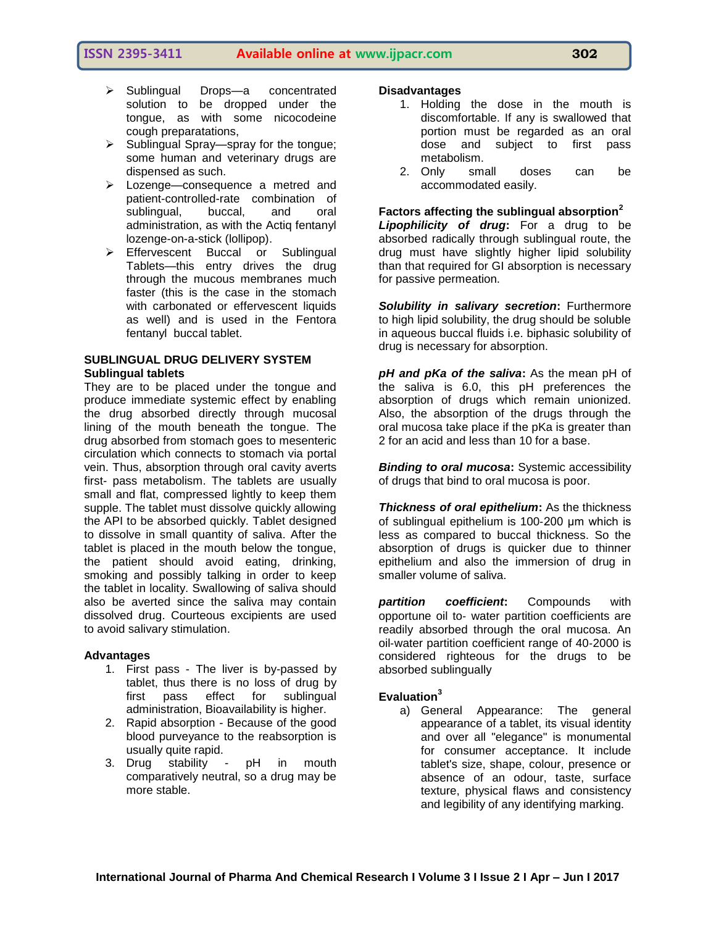- Sublingual Drops—a concentrated solution to be dropped under the tongue, as with some nicocodeine cough preparatations,
- $\triangleright$  Sublingual Spray—spray for the tongue; some human and veterinary drugs are dispensed as such.
- > Lozenge-consequence a metred and patient-controlled-rate combination of sublingual, buccal, and oral administration, as with the Actiq fentanyl lozenge-on-a-stick (lollipop).
- > Effervescent Buccal or Sublingual Tablets—this entry drives the drug through the mucous membranes much faster (this is the case in the stomach with carbonated or effervescent liquids as well) and is used in the Fentora fentanyl buccal tablet.

#### **SUBLINGUAL DRUG DELIVERY SYSTEM Sublingual tablets**

They are to be placed under the tongue and produce immediate systemic effect by enabling the drug absorbed directly through mucosal lining of the mouth beneath the tongue. The drug absorbed from stomach goes to mesenteric circulation which connects to stomach via portal vein. Thus, absorption through oral cavity averts first- pass metabolism. The tablets are usually small and flat, compressed lightly to keep them supple. The tablet must dissolve quickly allowing the API to be absorbed quickly. Tablet designed to dissolve in small quantity of saliva. After the tablet is placed in the mouth below the tongue, the patient should avoid eating, drinking, smoking and possibly talking in order to keep the tablet in locality. Swallowing of saliva should also be averted since the saliva may contain dissolved drug. Courteous excipients are used to avoid salivary stimulation.

#### **Advantages**

- 1. First pass The liver is by-passed by tablet, thus there is no loss of drug by first pass effect for sublingual administration, Bioavailability is higher.
- 2. Rapid absorption Because of the good blood purveyance to the reabsorption is usually quite rapid.
- 3. Drug stability pH in mouth comparatively neutral, so a drug may be more stable.

#### **Disadvantages**

- 1. Holding the dose in the mouth is discomfortable. If any is swallowed that portion must be regarded as an oral dose and subject to first pass metabolism.
- 2. Only small doses can be accommodated easily.

**Factors affecting the sublingual absorption<sup>2</sup>** *Lipophilicity of drug***:** For a drug to be absorbed radically through sublingual route, the drug must have slightly higher lipid solubility than that required for GI absorption is necessary for passive permeation.

*Solubility in salivary secretion***:** Furthermore to high lipid solubility, the drug should be soluble in aqueous buccal fluids i.e. biphasic solubility of drug is necessary for absorption.

*pH and pKa of the saliva***:** As the mean pH of the saliva is 6.0, this pH preferences the absorption of drugs which remain unionized. Also, the absorption of the drugs through the oral mucosa take place if the pKa is greater than 2 for an acid and less than 10 for a base.

*Binding to oral mucosa***:** Systemic accessibility of drugs that bind to oral mucosa is poor.

*Thickness of oral epithelium***:** As the thickness of sublingual epithelium is 100‐200 μm which is less as compared to buccal thickness. So the absorption of drugs is quicker due to thinner epithelium and also the immersion of drug in smaller volume of saliva.

*partition coefficient***:** Compounds with opportune oil to‐ water partition coefficients are readily absorbed through the oral mucosa. An oil‐water partition coefficient range of 40‐2000 is considered righteous for the drugs to be absorbed sublingually

#### **Evaluation<sup>3</sup>**

a) General Appearance: The general appearance of a tablet, its visual identity and over all "elegance" is monumental for consumer acceptance. It include tablet's size, shape, colour, presence or absence of an odour, taste, surface texture, physical flaws and consistency and legibility of any identifying marking.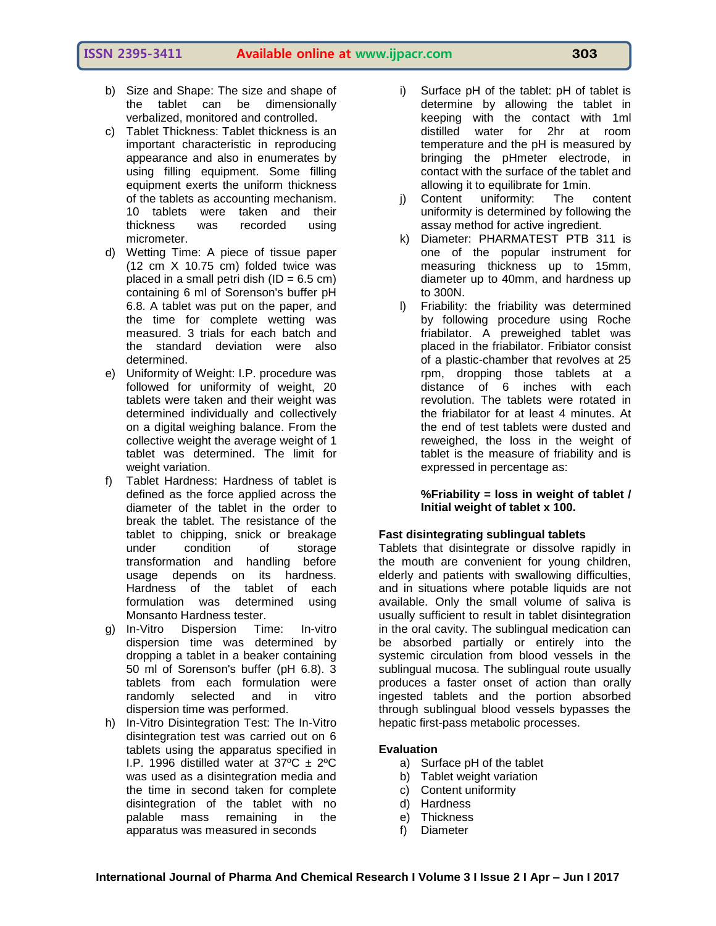- b) Size and Shape: The size and shape of the tablet can be dimensionally verbalized, monitored and controlled.
- c) Tablet Thickness: Tablet thickness is an important characteristic in reproducing appearance and also in enumerates by using filling equipment. Some filling equipment exerts the uniform thickness of the tablets as accounting mechanism. 10 tablets were taken and their thickness was recorded using micrometer.
- d) Wetting Time: A piece of tissue paper (12 cm X 10.75 cm) folded twice was placed in a small petri dish  $(ID = 6.5 cm)$ containing 6 ml of Sorenson's buffer pH 6.8. A tablet was put on the paper, and the time for complete wetting was measured. 3 trials for each batch and the standard deviation were also determined.
- e) Uniformity of Weight: I.P. procedure was followed for uniformity of weight, 20 tablets were taken and their weight was determined individually and collectively on a digital weighing balance. From the collective weight the average weight of 1 tablet was determined. The limit for weight variation.
- f) Tablet Hardness: Hardness of tablet is defined as the force applied across the diameter of the tablet in the order to break the tablet. The resistance of the tablet to chipping, snick or breakage under condition of storage transformation and handling before usage depends on its hardness. Hardness of the tablet of each formulation was determined using Monsanto Hardness tester.
- g) In-Vitro Dispersion Time: In-vitro dispersion time was determined by dropping a tablet in a beaker containing 50 ml of Sorenson's buffer (pH 6.8). 3 tablets from each formulation were randomly selected and in vitro dispersion time was performed.
- h) In-Vitro Disintegration Test: The In-Vitro disintegration test was carried out on 6 tablets using the apparatus specified in I.P. 1996 distilled water at  $37^{\circ}C \pm 2^{\circ}C$ was used as a disintegration media and the time in second taken for complete disintegration of the tablet with no palable mass remaining in the apparatus was measured in seconds
- i) Surface pH of the tablet: pH of tablet is determine by allowing the tablet in keeping with the contact with 1ml distilled water for 2hr at room temperature and the pH is measured by bringing the pHmeter electrode, in contact with the surface of the tablet and allowing it to equilibrate for 1min.
- j) Content uniformity: The content uniformity is determined by following the assay method for active ingredient.
- k) Diameter: PHARMATEST PTB 311 is one of the popular instrument for measuring thickness up to 15mm, diameter up to 40mm, and hardness up to 300N.
- l) Friability: the friability was determined by following procedure using Roche friabilator. A preweighed tablet was placed in the friabilator. Fribiator consist of a plastic-chamber that revolves at 25 rpm, dropping those tablets at a distance of 6 inches with each revolution. The tablets were rotated in the friabilator for at least 4 minutes. At the end of test tablets were dusted and reweighed, the loss in the weight of tablet is the measure of friability and is expressed in percentage as:

**%Friability = loss in weight of tablet / Initial weight of tablet x 100.**

#### **Fast disintegrating sublingual tablets**

Tablets that disintegrate or dissolve rapidly in the mouth are convenient for young children, elderly and patients with swallowing difficulties, and in situations where potable liquids are not available. Only the small volume of saliva is usually sufficient to result in tablet disintegration in the oral cavity. The sublingual medication can be absorbed partially or entirely into the systemic circulation from blood vessels in the sublingual mucosa. The sublingual route usually produces a faster onset of action than orally ingested tablets and the portion absorbed through sublingual blood vessels bypasses the hepatic first-pass metabolic processes.

#### **Evaluation**

- a) Surface pH of the tablet
- b) Tablet weight variation
- c) Content uniformity
- d) Hardness
- e) Thickness
- f) Diameter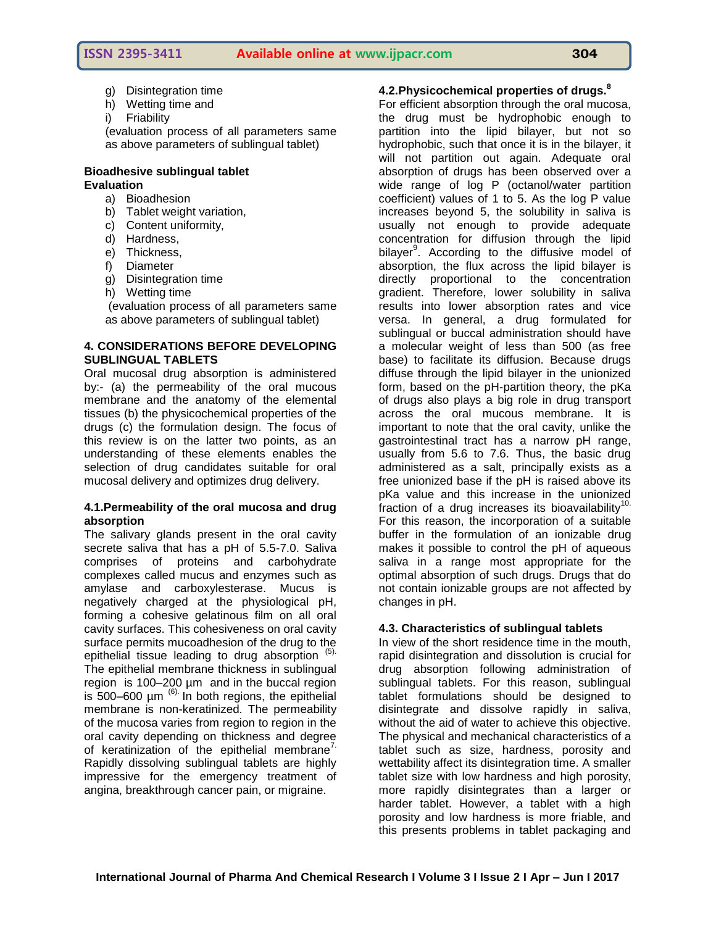- g) Disintegration time
- h) Wetting time and
- i) Friability

(evaluation process of all parameters same as above parameters of sublingual tablet)

#### **Bioadhesive sublingual tablet Evaluation**

- a) Bioadhesion
- b) Tablet weight variation,
- c) Content uniformity,
- d) Hardness,
- e) Thickness,
- f) Diameter
- g) Disintegration time
- h) Wetting time

(evaluation process of all parameters same as above parameters of sublingual tablet)

#### **4. CONSIDERATIONS BEFORE DEVELOPING SUBLINGUAL TABLETS**

Oral mucosal drug absorption is administered by:- (a) the permeability of the oral mucous membrane and the anatomy of the elemental tissues (b) the physicochemical properties of the drugs (c) the formulation design. The focus of this review is on the latter two points, as an understanding of these elements enables the selection of drug candidates suitable for oral mucosal delivery and optimizes drug delivery.

#### **4.1.Permeability of the oral mucosa and drug absorption**

The salivary glands present in the oral cavity secrete saliva that has a pH of 5.5-7.0. Saliva comprises of proteins and carbohydrate complexes called mucus and enzymes such as amylase and carboxylesterase. Mucus is negatively charged at the physiological pH, forming a cohesive gelatinous film on all oral cavity surfaces. This cohesiveness on oral cavity surface permits mucoadhesion of the drug to the epithelial tissue leading to drug absorption  $(5)$ . The epithelial membrane thickness in sublingual region is 100–200 µm and in the buccal region is 500–600  $\mu$ m<sup> $(6)$ </sup>. In both regions, the epithelial membrane is non-keratinized. The permeability of the mucosa varies from region to region in the oral cavity depending on thickness and degree of keratinization of the epithelial membrane<sup> $\prime$ .</sup> Rapidly dissolving sublingual tablets are highly impressive for the emergency treatment of angina, breakthrough cancer pain, or migraine.

#### **4.2.Physicochemical properties of drugs.<sup>8</sup>**

For efficient absorption through the oral mucosa, the drug must be hydrophobic enough to partition into the lipid bilayer, but not so hydrophobic, such that once it is in the bilayer, it will not partition out again. Adequate oral absorption of drugs has been observed over a wide range of log P (octanol/water partition coefficient) values of 1 to 5. As the log P value increases beyond 5, the solubility in saliva is usually not enough to provide adequate concentration for diffusion through the lipid bilayer<sup>9</sup>. According to the diffusive model of absorption, the flux across the lipid bilayer is directly proportional to the concentration gradient. Therefore, lower solubility in saliva results into lower absorption rates and vice versa. In general, a drug formulated for sublingual or buccal administration should have a molecular weight of less than 500 (as free base) to facilitate its diffusion. Because drugs diffuse through the lipid bilayer in the unionized form, based on the pH-partition theory, the pKa of drugs also plays a big role in drug transport across the oral mucous membrane. It is important to note that the oral cavity, unlike the gastrointestinal tract has a narrow pH range, usually from 5.6 to 7.6. Thus, the basic drug administered as a salt, principally exists as a free unionized base if the pH is raised above its pKa value and this increase in the unionized fraction of a drug increases its bioavailability $10$ . For this reason, the incorporation of a suitable buffer in the formulation of an ionizable drug makes it possible to control the pH of aqueous saliva in a range most appropriate for the optimal absorption of such drugs. Drugs that do not contain ionizable groups are not affected by changes in pH.

#### **4.3. Characteristics of sublingual tablets**

In view of the short residence time in the mouth, rapid disintegration and dissolution is crucial for drug absorption following administration of sublingual tablets. For this reason, sublingual tablet formulations should be designed to disintegrate and dissolve rapidly in saliva, without the aid of water to achieve this objective. The physical and mechanical characteristics of a tablet such as size, hardness, porosity and wettability affect its disintegration time. A smaller tablet size with low hardness and high porosity, more rapidly disintegrates than a larger or harder tablet. However, a tablet with a high porosity and low hardness is more friable, and this presents problems in tablet packaging and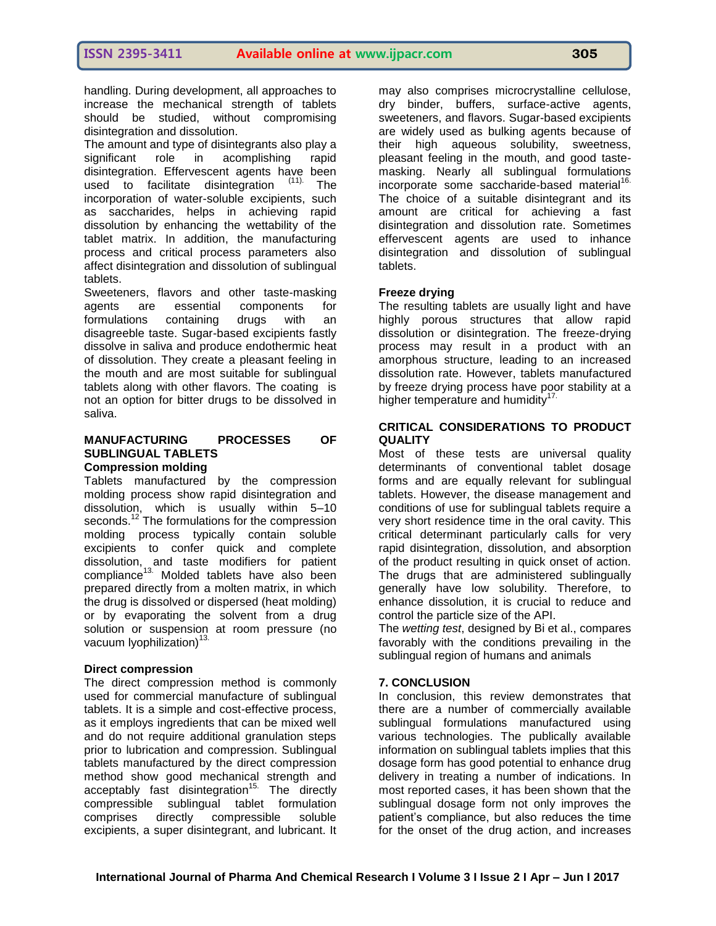handling. During development, all approaches to increase the mechanical strength of tablets should be studied, without compromising disintegration and dissolution.

The amount and type of disintegrants also play a significant role in acomplishing rapid disintegration. Effervescent agents have been used to facilitate disintegration (11). The incorporation of water-soluble excipients, such as saccharides, helps in achieving rapid dissolution by enhancing the wettability of the tablet matrix. In addition, the manufacturing process and critical process parameters also affect disintegration and dissolution of sublingual tablets.

Sweeteners, flavors and other taste-masking agents are essential components for formulations containing drugs with an disagreeble taste. Sugar-based excipients fastly dissolve in saliva and produce endothermic heat of dissolution. They create a pleasant feeling in the mouth and are most suitable for sublingual tablets along with other flavors. The coating is not an option for bitter drugs to be dissolved in saliva.

## **MANUFACTURING PROCESSES OF SUBLINGUAL TABLETS**

**Compression molding**

Tablets manufactured by the compression molding process show rapid disintegration and dissolution, which is usually within 5–10 seconds.<sup>12</sup> The formulations for the compression molding process typically contain soluble excipients to confer quick and complete dissolution, and taste modifiers for patient compliance $^{13}$ . Molded tablets have also been prepared directly from a molten matrix, in which the drug is dissolved or dispersed (heat molding) or by evaporating the solvent from a drug solution or suspension at room pressure (no vacuum lyophilization)<sup>13.</sup>

#### **Direct compression**

The direct compression method is commonly used for commercial manufacture of sublingual tablets. It is a simple and cost-effective process, as it employs ingredients that can be mixed well and do not require additional granulation steps prior to lubrication and compression. Sublingual tablets manufactured by the direct compression method show good mechanical strength and  $acceptably$  fast disintegration<sup>15.</sup> The directly compressible sublingual tablet formulation comprises directly compressible soluble excipients, a super disintegrant, and lubricant. It

may also comprises microcrystalline cellulose, dry binder, buffers, surface-active agents, sweeteners, and flavors. Sugar-based excipients are widely used as bulking agents because of their high aqueous solubility, sweetness, pleasant feeling in the mouth, and good tastemasking. Nearly all sublingual formulations incorporate some saccharide-based material<sup>16.</sup> The choice of a suitable disintegrant and its amount are critical for achieving a fast disintegration and dissolution rate. Sometimes effervescent agents are used to inhance disintegration and dissolution of sublingual tablets.

#### **Freeze drying**

The resulting tablets are usually light and have highly porous structures that allow rapid dissolution or disintegration. The freeze-drying process may result in a product with an amorphous structure, leading to an increased dissolution rate. However, tablets manufactured by freeze drying process have poor stability at a higher temperature and humidity<sup>17.</sup>

#### **CRITICAL CONSIDERATIONS TO PRODUCT QUALITY**

Most of these tests are universal quality determinants of conventional tablet dosage forms and are equally relevant for sublingual tablets. However, the disease management and conditions of use for sublingual tablets require a very short residence time in the oral cavity. This critical determinant particularly calls for very rapid disintegration, dissolution, and absorption of the product resulting in quick onset of action. The drugs that are administered sublingually generally have low solubility. Therefore, to enhance dissolution, it is crucial to reduce and control the particle size of the API.

The *wetting test*, designed by Bi et al., compares favorably with the conditions prevailing in the sublingual region of humans and animals

#### **7. CONCLUSION**

In conclusion, this review demonstrates that there are a number of commercially available sublingual formulations manufactured using various technologies. The publically available information on sublingual tablets implies that this dosage form has good potential to enhance drug delivery in treating a number of indications. In most reported cases, it has been shown that the sublingual dosage form not only improves the patient's compliance, but also reduces the time for the onset of the drug action, and increases